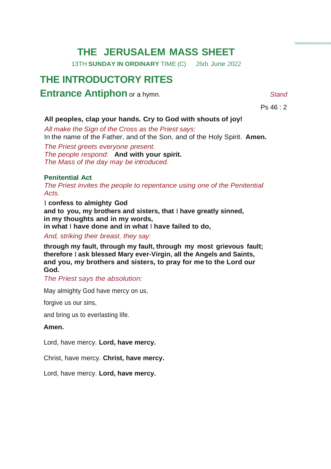# **THE JERUSALEM MASS SHEET**

13TH **SUNDAY IN ORDINARY** TIME (C) 26th June 2022

# **THE INTRODUCTORY RITES**

# **Entrance Antiphon** or a hymn. **Entrance Antiphon** or a hymn.

Ps 46 : 2

### **All peoples, clap your hands. Cry to God with shouts of joy!**

*All make the Sign of the Cross as the Priest says:* In the name of the Father, and of the Son, and of the Holy Spirit. **Amen.**

*The Priest greets everyone present. The people respond:* **And with your spirit.** *The Mass of the day may be introduced.*

#### **Penitential Act**

*The Priest invites the people to repentance using one of the Penitential Acts.*

I **confess to almighty God and to you, my brothers and sisters, that** I **have greatly sinned, in my thoughts and in my words, in what** I **have done and in what** I **have failed to do,**

*And, striking their breast, they say:*

**through my fault, through my fault, through my most grievous fault; therefore** I **ask blessed Mary ever-Virgin, all the Angels and Saints, and you, my brothers and sisters, to pray for me to the Lord our God.**

*The Priest says the absolution:*

May almighty God have mercy on us,

forgive us our sins,

and bring us to everlasting life.

**Amen.**

Lord, have mercy. **Lord, have mercy.** 

Christ, have mercy. **Christ, have mercy.** 

Lord, have mercy. **Lord, have mercy.**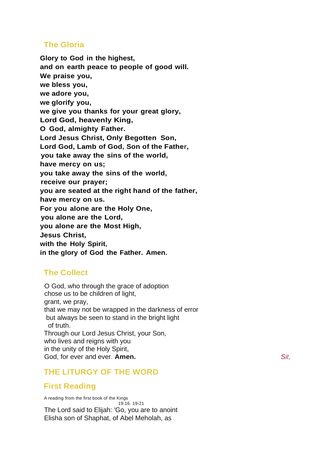# **The Gloria**

**Glory to God in the highest, and on earth peace to people of good will. We praise you, we bless you, we adore you, we glorify you, we give you thanks for your great glory, Lord God, heavenly King, O God, almighty Father. Lord Jesus Christ, Only Begotten Son, Lord God, Lamb of God, Son of the Father, you take away the sins of the world, have mercy on us; you take away the sins of the world, receive our prayer; you are seated at the right hand of the father, have mercy on us. For you alone are the Holy One, you alone are the Lord, you alone are the Most High, Jesus Christ, with the Holy Spirit, in the glory of God the Father. Amen.**

# **The Collect**

O God, who through the grace of adoption chose us to be children of light, grant, we pray, that we may not be wrapped in the darkness of error but always be seen to stand in the bright light of truth. Through our Lord Jesus Christ, your Son, who lives and reigns with you in the unity of the Holy Spirit, God, for ever and ever. **Amen.** *Sit,*

# **THE LITURGY OF THE WORD**

# **First Reading**

A reading from the first book of the Kings 19:16. 19-21 The Lord said to Elijah: 'Go, you are to anoint Elisha son of Shaphat, of Abel Meholah, as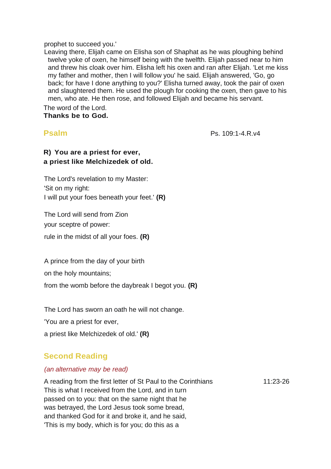prophet to succeed you.'

Leaving there, Elijah came on Elisha son of Shaphat as he was ploughing behind twelve yoke of oxen, he himself being with the twelfth. Elijah passed near to him and threw his cloak over him. Elisha left his oxen and ran after Elijah. 'Let me kiss my father and mother, then I will follow you' he said. Elijah answered, 'Go, go back; for have I done anything to you?' Elisha turned away, took the pair of oxen and slaughtered them. He used the plough for cooking the oxen, then gave to his men, who ate. He then rose, and followed Elijah and became his servant.

The word of the Lord. **Thanks be to God.**

**Psalm** Ps. 109:1-4.R.v4

# **R) You are a priest for ever, a priest like Melchizedek of old.**

The Lord's revelation to my Master: 'Sit on my right: I will put your foes beneath your feet.' **(R)**

The Lord will send from Zion

your sceptre of power:

rule in the midst of all your foes. **(R)**

A prince from the day of your birth

on the holy mountains;

from the womb before the daybreak I begot you. **(R)**

The Lord has sworn an oath he will not change.

'You are a priest for ever,

a priest like Melchizedek of old.' **(R)**

# **Second Reading**

#### *(an alternative may be read)*

A reading from the first letter of St Paul to the Corinthians 11:23-26 This is what I received from the Lord, and in turn passed on to you: that on the same night that he was betrayed, the Lord Jesus took some bread, and thanked God for it and broke it, and he said, 'This is my body, which is for you; do this as a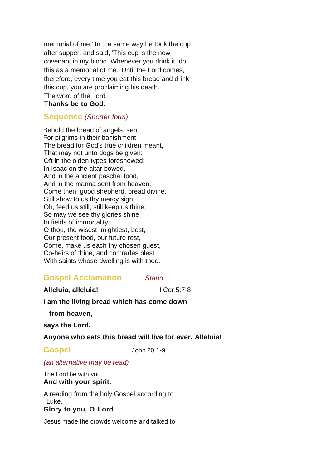memorial of me.' In the same way he took the cup after supper, and said, 'This cup is the new covenant in my blood. Whenever you drink it, do this as a memorial of me.' Until the Lord comes, therefore, every time you eat this bread and drink this cup, you are proclaiming his death. The word of the Lord. **Thanks be to God.**

# **Sequence** *(Shorter form)*

Behold the bread of angels, sent For pilgrims in their banishment, The bread for God's true children meant, That may not unto dogs be given: Oft in the olden types foreshowed; In Isaac on the altar bowed, And in the ancient paschal food, And in the manna sent from heaven. Come then, good shepherd, bread divine, Still show to us thy mercy sign; Oh, feed us still, still keep us thine; So may we see thy glories shine In fields of immortality; O thou, the wisest, mightiest, best, Our present food, our future rest, Come, make us each thy chosen guest, Co-heirs of thine, and comrades blest With saints whose dwelling is with thee.

# **Gospel Acclamation** *Stand*

#### **Alleluia, alleluia!** I Cor 5:7-8

**I am the living bread which has come down** 

 **from heaven,**

**says the Lord.**

### **Anyone who eats this bread will live for ever. Alleluia!**

**Gospel** John 20:1-9

#### *(an alternative may be read)*

The Lord be with you. **And with your spirit.**

A reading from the holy Gospel according to Luke. **Glory to you, O Lord.**

#### Jesus made the crowds welcome and talked to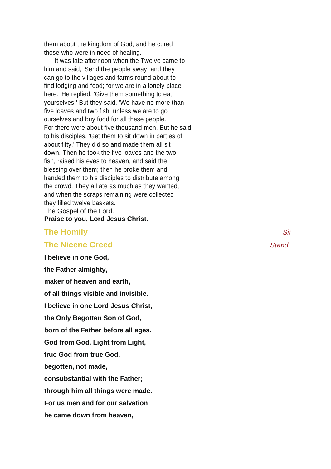them about the kingdom of God; and he cured those who were in need of healing.

 It was late afternoon when the Twelve came to him and said, 'Send the people away, and they can go to the villages and farms round about to find lodging and food; for we are in a lonely place here.' He replied, 'Give them something to eat yourselves.' But they said, 'We have no more than five loaves and two fish, unless we are to go ourselves and buy food for all these people.' For there were about five thousand men. But he said to his disciples, 'Get them to sit down in parties of about fifty.' They did so and made them all sit down. Then he took the five loaves and the two fish, raised his eyes to heaven, and said the blessing over them; then he broke them and handed them to his disciples to distribute among the crowd. They all ate as much as they wanted, and when the scraps remaining were collected they filled twelve baskets. The Gospel of the Lord. **Praise to you, Lord Jesus Christ.**

# **The Homily** *Sit*

# **The Nicene Creed** *Stand*

**I believe in one God, the Father almighty, maker of heaven and earth, of all things visible and invisible. I believe in one Lord Jesus Christ, the Only Begotten Son of God, born of the Father before all ages. God from God, Light from Light, true God from true God, begotten, not made, consubstantial with the Father; through him all things were made. For us men and for our salvation he came down from heaven,**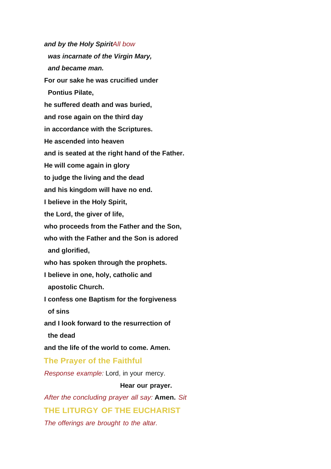*and by the Holy SpiritAll bow was incarnate of the Virgin Mary, and became man.* **For our sake he was crucified under Pontius Pilate, he suffered death and was buried, and rose again on the third day in accordance with the Scriptures. He ascended into heaven and is seated at the right hand of the Father. He will come again in glory to judge the living and the dead and his kingdom will have no end. I believe in the Holy Spirit, the Lord, the giver of life, who proceeds from the Father and the Son, who with the Father and the Son is adored and glorified, who has spoken through the prophets. I believe in one, holy, catholic and apostolic Church. I confess one Baptism for the forgiveness of sins and I look forward to the resurrection of the dead and the life of the world to come. Amen. The Prayer of the Faithful** *Response example:* Lord, in your mercy. **Hear our prayer.** *After the concluding prayer all say:* **Amen.** *Sit*

**THE LITURGY OF THE EUCHARIST**

*The offerings are brought to the altar.*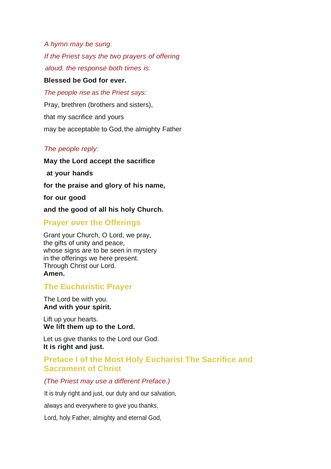*A hymn may be sung. If the Priest says the two prayers of offering aloud, the response both times is:* **Blessed be God for ever.**

*The people rise as the Priest says:*

Pray, brethren (brothers and sisters),

that my sacrifice and yours

may be acceptable to God, the almighty Father

### *The people reply:*

**May the Lord accept the sacrifice at your hands for the praise and glory of his name, for our good and the good of all his holy Church. Prayer over the Offerings**

#### Grant your Church, O Lord, we pray, the gifts of unity and peace, whose signs are to be seen in mystery in the offerings we here present. Through Christ our Lord.

#### **Amen.**

# **The Eucharistic Prayer**

The Lord be with you. **And with your spirit.**

Lift up your hearts. **We lift them up to the Lord.**

Let us give thanks to the Lord our God. **It is right and just.**

# **Preface I of the Most Holy Eucharist The Sacrifice and Sacrament of Christ**

#### *(The Priest may use a different Preface.)*

It is truly right and just, our duty and our salvation,

always and everywhere to give you thanks,

Lord, holy Father, almighty and eternal God,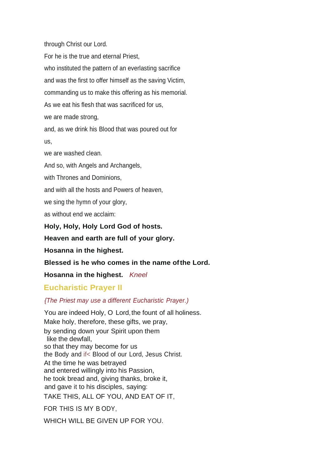through Christ our Lord.

For he is the true and eternal Priest, who instituted the pattern of an everlasting sacrifice and was the first to offer himself as the saving Victim, commanding us to make this offering as his memorial. As we eat his flesh that was sacrificed for us, we are made strong, and, as we drink his Blood that was poured out for us, we are washed clean. And so, with Angels and Archangels, with Thrones and Dominions, and with all the hosts and Powers of heaven, we sing the hymn of your glory,

as without end we acclaim:

**Holy, Holy, Holy Lord God of hosts.**

**Heaven and earth are full of your glory.**

**Hosanna in the highest.**

**Blessed is he who comes in the name ofthe Lord.**

**Hosanna in the highest.** *Kneel*

# **Eucharistic Prayer II**

#### *{The Priest may use a different Eucharistic Prayer.)*

You are indeed Holy, O Lord, the fount of all holiness. Make holy, therefore, these gifts, we pray, by sending down your Spirit upon them like the dewfall, so that they may become for us the Body and if< Blood of our Lord, Jesus Christ. At the time he was betrayed and entered willingly into his Passion, he took bread and, giving thanks, broke it, and gave it to his disciples, saying: TAKE THIS, ALL OF YOU, AND EAT OF IT, FOR THIS IS MY B ODY,

WHICH WILL BE GIVEN UP FOR YOU.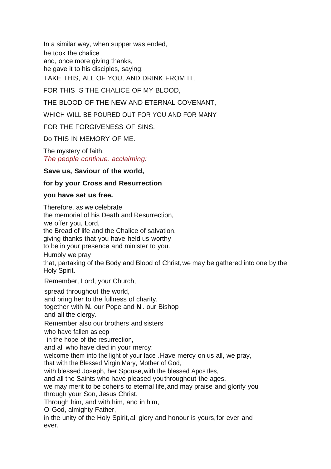In a similar way, when supper was ended,

he took the chalice

and, once more giving thanks,

he gave it to his disciples, saying:

TAKE THIS, ALL OF YOU, AND DRINK FROM IT,

FOR THIS IS THE CHALICE OF MY BLOOD,

THE BLOOD OF THE NEW AND ETERNAL COVENANT,

WHICH WILL BE POURED OUT FOR YOU AND FOR MANY

FOR THE FORGIVENESS OF SINS.

Do THIS IN MEMORY OF ME.

The mystery of faith. *The people continue, acclaiming:*

# **Save us, Saviour of the world,**

# **for by your Cross and Resurrection**

### **you have set us free.**

Therefore, as we celebrate the memorial of his Death and Resurrection, we offer you, Lord, the Bread of life and the Chalice of salvation, giving thanks that you have held us worthy to be in your presence and minister to you. Humbly we pray that, partaking of the Body and Blood of Christ,we may be gathered into one by the Holy Spirit. Remember, Lord, your Church, spread throughout the world, and bring her to the fullness of charity, together with **N.** our Pope and **N .** our Bishop and all the clergy. Remember also our brothers and sisters who have fallen asleep in the hope of the resurrection, and all who have died in your mercy: welcome them into the light of your face .Have mercy on us all, we pray, that with the Blessed Virgin Mary, Mother of God, with blessed Joseph, her Spouse,with the blessed Apos tles, and all the Saints who have pleased youthroughout the ages, we may merit to be coheirs to eternal life,and may praise and glorify you through your Son, Jesus Christ. Through him, and with him, and in him, O God, almighty Father, in the unity of the Holy Spirit,all glory and honour is yours,for ever and ever.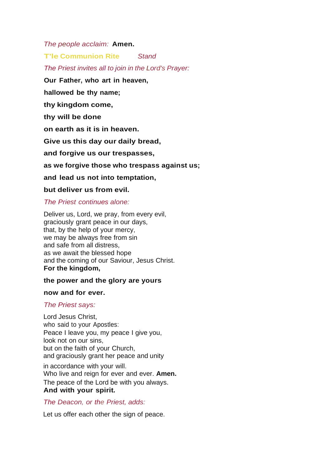*The people acclaim:* **Amen. T'le Communion Rite** *Stand The Priest invites all to join in the Lord's Prayer:* **Our Father, who art in heaven, hallowed be thy name; thy kingdom come, thy will be done on earth as it is in heaven. Give us this day our daily bread, and forgive us our trespasses, as we forgive those who trespass against us; and lead us not into temptation,**

**but deliver us from evil.**

*The Priest continues alone:*

Deliver us, Lord, we pray, from every evil, graciously grant peace in our days, that, by the help of your mercy, we may be always free from sin and safe from all distress, as we await the blessed hope and the coming of our Saviour, Jesus Christ. **For the kingdom,**

#### **the power and the glory are yours**

#### **now and for ever.**

#### *The Priest says:*

Lord Jesus Christ, who said to your Apostles: Peace I leave you, my peace I give you, look not on our sins, but on the faith of your Church, and graciously grant her peace and unity in accordance with your will.

Who live and reign for ever and ever. **Amen.** The peace of the Lord be with you always. **And with your spirit.**

*The Deacon, or the Priest, adds:*

Let us offer each other the sign of peace.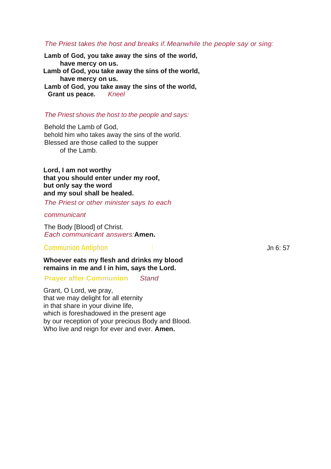#### *The Priest takes the host and breaks if.Meanwhile the people say or sing:*

**Lamb of God, you take away the sins of the world, have mercy on us. Lamb of God, you take away the sins of the world, have mercy on us. Lamb of God, you take away the sins of the world, Grant us peace.** *Kneel*

#### *The Priest shows the host to the people and says:*

Behold the Lamb of God, behold him who takes away the sins of the world. Blessed are those called to the supper of the Lamb.

**Lord, I am not worthy that you should enter under my roof, but only say the word and my soul shall be healed.**

*The Priest or other minister says to each*

#### *communicant*

The Body [Blood] of Christ. *Each communicant answers:***Amen.**

#### **Communion Antiphon** Jn 6: 57

#### **Whoever eats my flesh and drinks my blood remains in me and I in him, says the Lord.**

**Prayer after Communion** *Stand*

Grant, O Lord, we pray, that we may delight for all eternity in that share in your divine life, which is foreshadowed in the present age by our reception of your precious Body and Blood. Who live and reign for ever and ever. **Amen.**